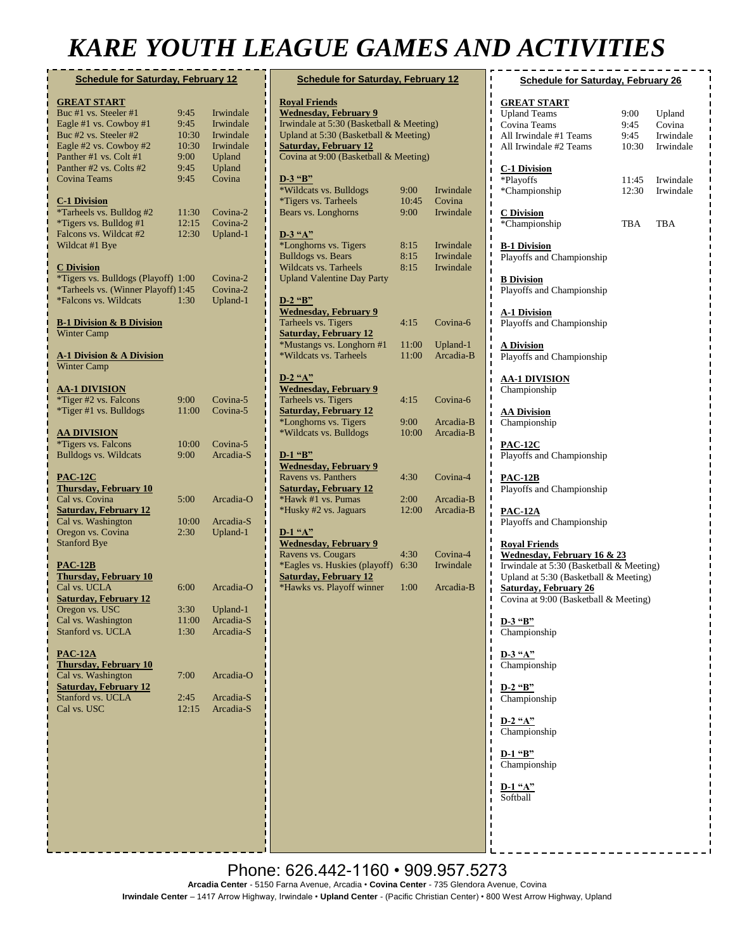# *KARE YOUTH LEAGUE GAMES AND ACTIVITIES*

| <b>Schedule for Saturday, February 12</b>       |       |                                                                                                                                                                                                                                                                                                                                                                                                                                                                                                                                                                                                                                                                                                                 |                                |
|-------------------------------------------------|-------|-----------------------------------------------------------------------------------------------------------------------------------------------------------------------------------------------------------------------------------------------------------------------------------------------------------------------------------------------------------------------------------------------------------------------------------------------------------------------------------------------------------------------------------------------------------------------------------------------------------------------------------------------------------------------------------------------------------------|--------------------------------|
| <b>GREAT START</b>                              |       |                                                                                                                                                                                                                                                                                                                                                                                                                                                                                                                                                                                                                                                                                                                 | R <sub>0</sub>                 |
| Buc #1 vs. Steeler #1                           | 9:45  | Irwindale                                                                                                                                                                                                                                                                                                                                                                                                                                                                                                                                                                                                                                                                                                       | We                             |
| Eagle #1 vs. Cowboy #1                          | 9:45  | Irwindale                                                                                                                                                                                                                                                                                                                                                                                                                                                                                                                                                                                                                                                                                                       | Irw                            |
| Buc #2 vs. Steeler #2                           | 10:30 | Irwindale                                                                                                                                                                                                                                                                                                                                                                                                                                                                                                                                                                                                                                                                                                       | Up                             |
| Eagle #2 vs. Cowboy #2                          | 10:30 | Irwindale                                                                                                                                                                                                                                                                                                                                                                                                                                                                                                                                                                                                                                                                                                       | <u>Sat</u>                     |
| Panther #1 vs. Colt #1                          | 9:00  | Upland                                                                                                                                                                                                                                                                                                                                                                                                                                                                                                                                                                                                                                                                                                          | $\rm{Co}$                      |
| Panther #2 vs. Colts #2                         | 9:45  | Upland                                                                                                                                                                                                                                                                                                                                                                                                                                                                                                                                                                                                                                                                                                          |                                |
| Covina Teams                                    | 9:45  | Covina                                                                                                                                                                                                                                                                                                                                                                                                                                                                                                                                                                                                                                                                                                          | D-3                            |
|                                                 |       |                                                                                                                                                                                                                                                                                                                                                                                                                                                                                                                                                                                                                                                                                                                 | $*W$                           |
| <b>C-1 Division</b>                             |       |                                                                                                                                                                                                                                                                                                                                                                                                                                                                                                                                                                                                                                                                                                                 | *Ti                            |
| *Tarheels vs. Bulldog #2                        | 11:30 | Covina-2                                                                                                                                                                                                                                                                                                                                                                                                                                                                                                                                                                                                                                                                                                        | Be                             |
| <i>*Tigers vs. Bulldog #1</i>                   | 12:15 | Covina-2                                                                                                                                                                                                                                                                                                                                                                                                                                                                                                                                                                                                                                                                                                        |                                |
| Falcons vs. Wildcat #2                          | 12:30 | Upland-1                                                                                                                                                                                                                                                                                                                                                                                                                                                                                                                                                                                                                                                                                                        | $D$ .                          |
| Wildcat #1 Bye                                  |       |                                                                                                                                                                                                                                                                                                                                                                                                                                                                                                                                                                                                                                                                                                                 | $*L$                           |
|                                                 |       |                                                                                                                                                                                                                                                                                                                                                                                                                                                                                                                                                                                                                                                                                                                 | Bu                             |
| <b>C</b> Division                               |       |                                                                                                                                                                                                                                                                                                                                                                                                                                                                                                                                                                                                                                                                                                                 | Wi                             |
| *Tigers vs. Bulldogs (Playoff) 1:00             |       | Covina-2                                                                                                                                                                                                                                                                                                                                                                                                                                                                                                                                                                                                                                                                                                        | Up                             |
| *Tarheels vs. (Winner Playoff) 1:45             |       | Covina-2                                                                                                                                                                                                                                                                                                                                                                                                                                                                                                                                                                                                                                                                                                        |                                |
| *Falcons vs. Wildcats                           | 1:30  | Upland-1                                                                                                                                                                                                                                                                                                                                                                                                                                                                                                                                                                                                                                                                                                        | $\mathbf{D}$ -2                |
|                                                 |       |                                                                                                                                                                                                                                                                                                                                                                                                                                                                                                                                                                                                                                                                                                                 | W٥                             |
| <b>B-1 Division &amp; B Division</b>            |       |                                                                                                                                                                                                                                                                                                                                                                                                                                                                                                                                                                                                                                                                                                                 | Tai                            |
| Winter Camp                                     |       |                                                                                                                                                                                                                                                                                                                                                                                                                                                                                                                                                                                                                                                                                                                 | Sat<br>$*_{\mathbf{M}}$        |
|                                                 |       |                                                                                                                                                                                                                                                                                                                                                                                                                                                                                                                                                                                                                                                                                                                 |                                |
| <b>A-1 Division &amp; A Division</b>            |       |                                                                                                                                                                                                                                                                                                                                                                                                                                                                                                                                                                                                                                                                                                                 | $*W$                           |
| <b>Winter Camp</b>                              |       |                                                                                                                                                                                                                                                                                                                                                                                                                                                                                                                                                                                                                                                                                                                 |                                |
|                                                 |       |                                                                                                                                                                                                                                                                                                                                                                                                                                                                                                                                                                                                                                                                                                                 | $\mathbf{D}$ -2                |
| <u>AA-1 DIVISION</u>                            | 9:00  | Covina-5                                                                                                                                                                                                                                                                                                                                                                                                                                                                                                                                                                                                                                                                                                        | W٥<br>Tai                      |
| *Tiger #2 vs. Falcons<br>*Tiger #1 vs. Bulldogs | 11:00 | Covina-5                                                                                                                                                                                                                                                                                                                                                                                                                                                                                                                                                                                                                                                                                                        |                                |
|                                                 |       |                                                                                                                                                                                                                                                                                                                                                                                                                                                                                                                                                                                                                                                                                                                 | <b>Sat</b><br>$*_{\mathrm{L}}$ |
| <b>AA DIVISION</b>                              |       |                                                                                                                                                                                                                                                                                                                                                                                                                                                                                                                                                                                                                                                                                                                 | *W                             |
| <i>*Tigers vs. Falcons</i>                      | 10:00 | Covina-5                                                                                                                                                                                                                                                                                                                                                                                                                                                                                                                                                                                                                                                                                                        |                                |
| <b>Bulldogs vs. Wildcats</b>                    | 9:00  | Arcadia-S                                                                                                                                                                                                                                                                                                                                                                                                                                                                                                                                                                                                                                                                                                       | $\mathbf{D}$ -                 |
|                                                 |       |                                                                                                                                                                                                                                                                                                                                                                                                                                                                                                                                                                                                                                                                                                                 | W٥                             |
| <b>PAC-12C</b>                                  |       |                                                                                                                                                                                                                                                                                                                                                                                                                                                                                                                                                                                                                                                                                                                 | Ra                             |
| <b>Thursday, February 10</b>                    |       |                                                                                                                                                                                                                                                                                                                                                                                                                                                                                                                                                                                                                                                                                                                 | <u>Sat</u>                     |
| Cal vs. Covina                                  | 5:00  | Arcadia-O                                                                                                                                                                                                                                                                                                                                                                                                                                                                                                                                                                                                                                                                                                       | $*H$                           |
| <b>Saturday, February 12</b>                    |       |                                                                                                                                                                                                                                                                                                                                                                                                                                                                                                                                                                                                                                                                                                                 | $*_{\rm H}$                    |
| Cal vs. Washington                              | 10:00 | Arcadia-S                                                                                                                                                                                                                                                                                                                                                                                                                                                                                                                                                                                                                                                                                                       |                                |
| Oregon vs. Covina                               | 2:30  | Upland-1                                                                                                                                                                                                                                                                                                                                                                                                                                                                                                                                                                                                                                                                                                        | $\mathbf{D}$ -                 |
| <b>Stanford Bye</b>                             |       |                                                                                                                                                                                                                                                                                                                                                                                                                                                                                                                                                                                                                                                                                                                 | $\mathbf{W}$                   |
|                                                 |       |                                                                                                                                                                                                                                                                                                                                                                                                                                                                                                                                                                                                                                                                                                                 | Ra                             |
| <b>PAC-12B</b>                                  |       |                                                                                                                                                                                                                                                                                                                                                                                                                                                                                                                                                                                                                                                                                                                 | *E:                            |
| <b>Thursday, February 10</b>                    |       |                                                                                                                                                                                                                                                                                                                                                                                                                                                                                                                                                                                                                                                                                                                 | <b>Sat</b>                     |
| Cal vs. UCLA                                    | 6:00  | Arcadia-O                                                                                                                                                                                                                                                                                                                                                                                                                                                                                                                                                                                                                                                                                                       | *H                             |
| <b>Saturday, February 12</b>                    |       |                                                                                                                                                                                                                                                                                                                                                                                                                                                                                                                                                                                                                                                                                                                 |                                |
| Oregon vs. USC                                  | 3:30  | Upland-1                                                                                                                                                                                                                                                                                                                                                                                                                                                                                                                                                                                                                                                                                                        |                                |
| Cal vs. Washington                              | 11:00 | Arcadia-S                                                                                                                                                                                                                                                                                                                                                                                                                                                                                                                                                                                                                                                                                                       |                                |
| Stanford vs. UCLA                               | 1:30  | Arcadia-S                                                                                                                                                                                                                                                                                                                                                                                                                                                                                                                                                                                                                                                                                                       |                                |
|                                                 |       | I                                                                                                                                                                                                                                                                                                                                                                                                                                                                                                                                                                                                                                                                                                               |                                |
| $PAC-12A$                                       |       |                                                                                                                                                                                                                                                                                                                                                                                                                                                                                                                                                                                                                                                                                                                 |                                |
| <b>Thursday, February 10</b>                    |       |                                                                                                                                                                                                                                                                                                                                                                                                                                                                                                                                                                                                                                                                                                                 |                                |
| Cal vs. Washington                              | 7:00  | Arcadia-O                                                                                                                                                                                                                                                                                                                                                                                                                                                                                                                                                                                                                                                                                                       |                                |
| <b>Saturday, February 12</b>                    |       |                                                                                                                                                                                                                                                                                                                                                                                                                                                                                                                                                                                                                                                                                                                 |                                |
| Stanford vs. UCLA                               | 2:45  | Arcadia-S                                                                                                                                                                                                                                                                                                                                                                                                                                                                                                                                                                                                                                                                                                       |                                |
| Cal vs. USC                                     | 12:15 | Arcadia-S                                                                                                                                                                                                                                                                                                                                                                                                                                                                                                                                                                                                                                                                                                       |                                |
|                                                 |       | <br> <br> <br>                                                                                                                                                                                                                                                                                                                                                                                                                                                                                                                                                                                                                                                                                                  |                                |
|                                                 |       |                                                                                                                                                                                                                                                                                                                                                                                                                                                                                                                                                                                                                                                                                                                 |                                |
|                                                 |       |                                                                                                                                                                                                                                                                                                                                                                                                                                                                                                                                                                                                                                                                                                                 |                                |
|                                                 |       |                                                                                                                                                                                                                                                                                                                                                                                                                                                                                                                                                                                                                                                                                                                 |                                |
|                                                 |       |                                                                                                                                                                                                                                                                                                                                                                                                                                                                                                                                                                                                                                                                                                                 |                                |
|                                                 |       |                                                                                                                                                                                                                                                                                                                                                                                                                                                                                                                                                                                                                                                                                                                 |                                |
|                                                 |       |                                                                                                                                                                                                                                                                                                                                                                                                                                                                                                                                                                                                                                                                                                                 |                                |
|                                                 |       |                                                                                                                                                                                                                                                                                                                                                                                                                                                                                                                                                                                                                                                                                                                 |                                |
|                                                 |       | $\begin{array}{c} \n\blacksquare \quad \blacksquare \quad \blacksquare \quad \blacksquare \quad \blacksquare \quad \blacksquare \quad \blacksquare \quad \blacksquare \quad \blacksquare \quad \blacksquare \quad \blacksquare \quad \blacksquare \quad \blacksquare \quad \blacksquare \quad \blacksquare \quad \blacksquare \quad \blacksquare \quad \blacksquare \quad \blacksquare \quad \blacksquare \quad \blacksquare \quad \blacksquare \quad \blacksquare \quad \blacksquare \quad \blacksquare \quad \blacksquare \quad \blacksquare \quad \blacksquare \quad \blacksquare \quad \blacksquare \quad \blacksquare \quad \blacksquare \quad \blacksquare \quad \blacksquare \quad \blacksquare \quad \$ |                                |
|                                                 |       |                                                                                                                                                                                                                                                                                                                                                                                                                                                                                                                                                                                                                                                                                                                 |                                |
|                                                 |       |                                                                                                                                                                                                                                                                                                                                                                                                                                                                                                                                                                                                                                                                                                                 |                                |

| <b>Royal Friends</b><br><b>Wednesday, February 9</b>      |       |           |  |  |  |  |
|-----------------------------------------------------------|-------|-----------|--|--|--|--|
| Irwindale at 5:30 (Basketball & Meeting)                  |       |           |  |  |  |  |
| Upland at 5:30 (Basketball & Meeting)                     |       |           |  |  |  |  |
| <b>Saturday, February 12</b>                              |       |           |  |  |  |  |
| Covina at 9:00 (Basketball & Meeting)                     |       |           |  |  |  |  |
| D-3 "B"                                                   |       |           |  |  |  |  |
| *Wildcats vs. Bulldogs                                    | 9:00  | Irwindale |  |  |  |  |
| *Tigers vs. Tarheels                                      | 10:45 | Covina    |  |  |  |  |
| Bears vs. Longhorns                                       | 9:00  | Irwindale |  |  |  |  |
| $D-3$ "A"                                                 |       |           |  |  |  |  |
| *Longhorns vs. Tigers                                     | 8:15  | Irwindale |  |  |  |  |
| <b>Bulldogs vs. Bears</b>                                 | 8:15  | Irwindale |  |  |  |  |
| Wildcats vs. Tarheels                                     | 8:15  | Irwindale |  |  |  |  |
| <b>Upland Valentine Day Party</b>                         |       |           |  |  |  |  |
|                                                           |       |           |  |  |  |  |
| D-2 "B"<br><b>Wednesday, February 9</b>                   |       |           |  |  |  |  |
| Tarheels vs. Tigers                                       | 4:15  | Covina-6  |  |  |  |  |
| <b>Saturday, February 12</b>                              |       |           |  |  |  |  |
| *Mustangs vs. Longhorn #1                                 | 11:00 | Upland-1  |  |  |  |  |
| *Wildcats vs. Tarheels                                    | 11:00 | Arcadia-B |  |  |  |  |
|                                                           |       |           |  |  |  |  |
| $D-2$ "A"                                                 |       |           |  |  |  |  |
| <b>Wednesday, February 9</b>                              |       |           |  |  |  |  |
| Tarheels vs. Tigers                                       | 4:15  | Covina-6  |  |  |  |  |
| <b>Saturday, February 12</b>                              |       |           |  |  |  |  |
| *Longhorns vs. Tigers                                     | 9:00  | Arcadia-B |  |  |  |  |
| *Wildcats vs. Bulldogs                                    | 10:00 | Arcadia-B |  |  |  |  |
| D-1 "B"                                                   |       |           |  |  |  |  |
| <b>Wednesday, February 9</b>                              |       |           |  |  |  |  |
| Ravens vs. Panthers                                       | 4:30  | Covina-4  |  |  |  |  |
| <b>Saturday, February 12</b>                              |       |           |  |  |  |  |
| *Hawk #1 vs. Pumas                                        | 2:00  | Arcadia-B |  |  |  |  |
| *Husky #2 vs. Jaguars                                     | 12:00 | Arcadia-B |  |  |  |  |
|                                                           |       |           |  |  |  |  |
| $D-1$ "A"                                                 |       |           |  |  |  |  |
| <b>Wednesday, February 9</b>                              |       |           |  |  |  |  |
| Ravens vs. Cougars                                        | 4:30  | Covina-4  |  |  |  |  |
| *Eagles vs. Huskies (playoff)                             | 6:30  | Irwindale |  |  |  |  |
| <b>Saturday, February 12</b><br>*Hawks vs. Playoff winner | 1:00  | Arcadia-B |  |  |  |  |
|                                                           |       |           |  |  |  |  |
|                                                           |       |           |  |  |  |  |
|                                                           |       |           |  |  |  |  |
|                                                           |       |           |  |  |  |  |
|                                                           |       |           |  |  |  |  |
|                                                           |       |           |  |  |  |  |
|                                                           |       |           |  |  |  |  |
|                                                           |       |           |  |  |  |  |

| <b>Schedule for Saturday, February 12</b>                                                                            |                      | ı<br><b>Schedule for Saturday, February 26</b><br>п |                                                                                                                                                                                                                                                                        |                      |                               |
|----------------------------------------------------------------------------------------------------------------------|----------------------|-----------------------------------------------------|------------------------------------------------------------------------------------------------------------------------------------------------------------------------------------------------------------------------------------------------------------------------|----------------------|-------------------------------|
| al Friends<br>dnesday, February 9<br>ndale at 5:30 (Basketball & Meeting)<br>and at 5:30 (Basketball & Meeting)      |                      |                                                     | ı<br><b>GREAT START</b><br>J.<br>J.<br><b>Upland Teams</b><br>ı<br>Covina Teams<br>п<br>All Irwindale #1 Teams<br>J.                                                                                                                                                   | 9:00<br>9:45<br>9:45 | Upland<br>Covina<br>Irwindale |
| urday, February 12<br>ina at 9:00 (Basketball & Meeting)                                                             |                      |                                                     | J.<br>All Irwindale #2 Teams<br>п<br>ı                                                                                                                                                                                                                                 | 10:30                | Irwindale                     |
| $\mathbf{B}^{\prime\prime}$<br>ildcats vs. Bulldogs<br>gers vs. Tarheels                                             | $9:00^{-}$<br>10:45  | Irwindale<br>Covina                                 | C-1 Division<br>ı<br>п<br>*Playoffs<br>ı<br>*Championship<br>ı<br>п                                                                                                                                                                                                    | 11:45<br>12:30       | Irwindale<br>Irwindale        |
| rs vs. Longhorns                                                                                                     | 9:00                 | Irwindale                                           | J.<br><b>C</b> Division<br>I<br>*Championship<br>J.                                                                                                                                                                                                                    | TBA                  | TBA                           |
| $\mathbf{A}^{\prime\prime}$<br>nghorns vs. Tigers<br>ldogs vs. Bears<br>dcats vs. Tarheels                           | 8:15<br>8:15<br>8:15 | Irwindale<br>Irwindale<br>Irwindale                 | J.<br>J<br><b>B-1 Division</b><br>H<br>Playoffs and Championship<br>ı<br>п                                                                                                                                                                                             |                      |                               |
| and Valentine Day Party                                                                                              |                      |                                                     | <b>B</b> Division<br>J.<br>J.<br>Playoffs and Championship<br>ı                                                                                                                                                                                                        |                      |                               |
| $\mathbf{B}^{\prime\prime}$<br><u>dnesday, February 9</u><br>neels vs. Tigers<br>urday, February 12                  | 4:15                 | Covina-6                                            | п<br><b>A-1 Division</b><br>ı<br>Playoffs and Championship<br>ı                                                                                                                                                                                                        |                      |                               |
| ustangs vs. Longhorn #1<br>ildcats vs. Tarheels                                                                      | 11:00<br>11:00       | Upland-1<br>Arcadia-B                               | п<br><b>A Division</b><br>J,<br>J,<br>Playoffs and Championship                                                                                                                                                                                                        |                      |                               |
| $A$ <sup>39</sup><br>dnesday, February 9                                                                             |                      |                                                     | ı<br>ı<br><b>AA-1 DIVISION</b><br>п<br>Championship<br>ı                                                                                                                                                                                                               |                      |                               |
| neels vs. Tigers<br>urday, February 12<br>nghorns vs. Tigers                                                         | 4:15<br>9:00         | Covina-6<br>Arcadia-B                               | ı<br>п<br><b>AA Division</b><br>ı<br>Championship<br>ı<br>п                                                                                                                                                                                                            |                      |                               |
| ildcats vs. Bulldogs<br>$\mathbf{B}^{\prime\prime}$                                                                  | 10:00                | Arcadia-B                                           | п<br><u>PAC-12C</u><br>ı<br>Playoffs and Championship<br>J,                                                                                                                                                                                                            |                      |                               |
| dnesday, February 9<br>ens vs. Panthers<br>urday, February 12                                                        | 4:30                 | Covina-4                                            | I<br>ı<br><b>PAC-12B</b><br>п<br>Playoffs and Championship<br>I                                                                                                                                                                                                        |                      |                               |
| wk #1 vs. Pumas<br>isky #2 vs. Jaguars<br>$\mathbf{A}^{\prime\prime}$                                                | 2:00<br>12:00        | Arcadia-B<br>Arcadia-B                              | п<br>J.<br><b>PAC-12A</b><br>ı<br>Playoffs and Championship<br>ı<br>J.                                                                                                                                                                                                 |                      |                               |
| dnesday, February 9<br>ens vs. Cougars<br>gles vs. Huskies (playoff)<br>urday, February 12<br>wks vs. Playoff winner | 4:30<br>6:30<br>1:00 | Covina-4<br>Irwindale<br>Arcadia-B                  | J.<br><b>Royal Friends</b><br>п<br><b>Wednesday, February 16 &amp; 23</b><br>п<br>п<br>Irwindale at 5:30 (Basketball & Meeting)<br>ı<br>Upland at 5:30 (Basketball & Meeting)<br>п<br><b>Saturday, February 26</b><br>п<br>J.<br>Covina at 9:00 (Basketball & Meeting) |                      |                               |
|                                                                                                                      |                      |                                                     | п<br>$D-3$ "B"<br>J.<br>Championship<br>п                                                                                                                                                                                                                              |                      |                               |
|                                                                                                                      |                      |                                                     | ı<br>J.<br>$D-3$ "A"<br>п<br>Championship<br>ı                                                                                                                                                                                                                         |                      |                               |
|                                                                                                                      |                      |                                                     | ı<br>т<br>$D-2$ "B"<br>J.<br>Championship<br>J,<br>п                                                                                                                                                                                                                   |                      |                               |
|                                                                                                                      |                      |                                                     | J.<br>$D-2$ "A"<br>п<br>Championship<br>п<br>п                                                                                                                                                                                                                         |                      |                               |
|                                                                                                                      |                      |                                                     | J.<br>$D-1$ "B"<br>п<br>Championship<br>п<br>ı                                                                                                                                                                                                                         |                      |                               |
|                                                                                                                      |                      |                                                     | H<br>$D-1$ " $A$ "<br>ı<br>Softball<br>ı                                                                                                                                                                                                                               |                      |                               |

 $\mathbf{I}$